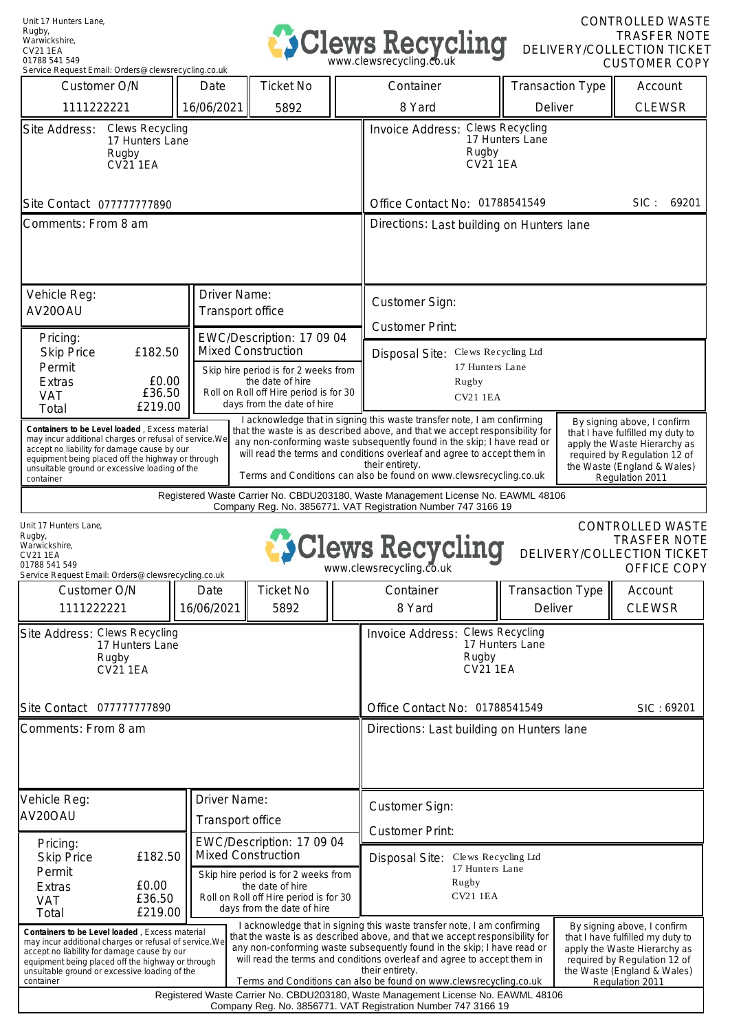

CONTROLLED WASTE TRASFER NOTE DELIVERY/COLLECTION TICKET CUSTOMER COPY

| Service Request Email: Orders@clewsrecycling.co.uk                                                                                                                                                                                                                                               |                                  |                                                                                                                                                               |  |                                                                                                                                                                                                                                                                                                                                                                                                                                                                                                                                                                                            |                                    |  |                          |
|--------------------------------------------------------------------------------------------------------------------------------------------------------------------------------------------------------------------------------------------------------------------------------------------------|----------------------------------|---------------------------------------------------------------------------------------------------------------------------------------------------------------|--|--------------------------------------------------------------------------------------------------------------------------------------------------------------------------------------------------------------------------------------------------------------------------------------------------------------------------------------------------------------------------------------------------------------------------------------------------------------------------------------------------------------------------------------------------------------------------------------------|------------------------------------|--|--------------------------|
| Customer O/N                                                                                                                                                                                                                                                                                     | Date                             | <b>Ticket No</b>                                                                                                                                              |  | Container                                                                                                                                                                                                                                                                                                                                                                                                                                                                                                                                                                                  | <b>Transaction Type</b>            |  | Account                  |
| 1111222221                                                                                                                                                                                                                                                                                       | 16/06/2021                       | 5892                                                                                                                                                          |  | 8 Yard                                                                                                                                                                                                                                                                                                                                                                                                                                                                                                                                                                                     | Deliver                            |  | <b>CLEWSR</b>            |
| Site Address:<br><b>Clews Recycling</b><br>17 Hunters Lane<br>Rugby<br><b>CV21 1EA</b>                                                                                                                                                                                                           |                                  |                                                                                                                                                               |  | Invoice Address: Clews Recycling<br>17 Hunters Lane<br>Rugby<br><b>CV21 1EA</b>                                                                                                                                                                                                                                                                                                                                                                                                                                                                                                            |                                    |  |                          |
| Site Contact 077777777890                                                                                                                                                                                                                                                                        |                                  |                                                                                                                                                               |  | Office Contact No: 01788541549<br>SIC:<br>69201                                                                                                                                                                                                                                                                                                                                                                                                                                                                                                                                            |                                    |  |                          |
| Comments: From 8 am                                                                                                                                                                                                                                                                              |                                  |                                                                                                                                                               |  | Directions: Last building on Hunters lane                                                                                                                                                                                                                                                                                                                                                                                                                                                                                                                                                  |                                    |  |                          |
| Vehicle Reg:<br>AV20OAU                                                                                                                                                                                                                                                                          | Driver Name:<br>Transport office |                                                                                                                                                               |  | Customer Sign:                                                                                                                                                                                                                                                                                                                                                                                                                                                                                                                                                                             |                                    |  |                          |
| Pricing:                                                                                                                                                                                                                                                                                         |                                  | EWC/Description: 17 09 04                                                                                                                                     |  | <b>Customer Print:</b>                                                                                                                                                                                                                                                                                                                                                                                                                                                                                                                                                                     |                                    |  |                          |
| £182.50<br><b>Skip Price</b><br>Permit<br>£0.00<br><b>Extras</b><br>£36.50<br><b>VAT</b><br>£219.00<br>Total                                                                                                                                                                                     |                                  | <b>Mixed Construction</b><br>Skip hire period is for 2 weeks from<br>the date of hire<br>Roll on Roll off Hire period is for 30<br>days from the date of hire |  | Disposal Site: Clews Recycling Ltd<br>17 Hunters Lane<br>Rugby<br><b>CV21 1EA</b>                                                                                                                                                                                                                                                                                                                                                                                                                                                                                                          |                                    |  |                          |
| Containers to be Level loaded, Excess material<br>may incur additional charges or refusal of service. We<br>accept no liability for damage cause by our<br>equipment being placed off the highway or through<br>unsuitable ground or excessive loading of the<br>container                       |                                  |                                                                                                                                                               |  | I acknowledge that in signing this waste transfer note, I am confirming<br>By signing above, I confirm<br>that the waste is as described above, and that we accept responsibility for<br>that I have fulfilled my duty to<br>any non-conforming waste subsequently found in the skip; I have read or<br>apply the Waste Hierarchy as<br>will read the terms and conditions overleaf and agree to accept them in<br>required by Regulation 12 of<br>their entirety.<br>the Waste (England & Wales)<br>Terms and Conditions can also be found on www.clewsrecycling.co.uk<br>Regulation 2011 |                                    |  |                          |
| Registered Waste Carrier No. CBDU203180, Waste Management License No. EAWML 48106<br>Company Reg. No. 3856771. VAT Registration Number 747 3166 19                                                                                                                                               |                                  |                                                                                                                                                               |  |                                                                                                                                                                                                                                                                                                                                                                                                                                                                                                                                                                                            |                                    |  |                          |
| <b>CONTROLLED WASTE</b><br>Unit 17 Hunters Lane,<br>Rugby,<br><b>TRASFER NOTE</b><br><b>SClews Recycling</b><br>Warwickshire.<br>DELIVERY/COLLECTION TICKET<br><b>CV21 1EA</b><br>01788 541 549<br>www.clewsrecycling.co.uk<br>OFFICE COPY<br>Service Request Email: Orders@clewsrecycling.co.uk |                                  |                                                                                                                                                               |  |                                                                                                                                                                                                                                                                                                                                                                                                                                                                                                                                                                                            |                                    |  |                          |
| Customer O/N<br>1111222221                                                                                                                                                                                                                                                                       | Date<br>16/06/2021               | <b>Ticket No</b><br>5892                                                                                                                                      |  | Container<br>8 Yard                                                                                                                                                                                                                                                                                                                                                                                                                                                                                                                                                                        | <b>Transaction Type</b><br>Deliver |  | Account<br><b>CLEWSR</b> |
| Site Address: Clews Recycling<br>17 Hunters Lane<br>Rugby<br><b>CV21 1EA</b>                                                                                                                                                                                                                     |                                  |                                                                                                                                                               |  | Invoice Address: Clews Recycling<br>17 Hunters Lane<br>Rugby<br>CV21 1EA                                                                                                                                                                                                                                                                                                                                                                                                                                                                                                                   |                                    |  |                          |
| Site Contact 077777777890                                                                                                                                                                                                                                                                        |                                  |                                                                                                                                                               |  | Office Contact No: 01788541549<br>SIC: 69201                                                                                                                                                                                                                                                                                                                                                                                                                                                                                                                                               |                                    |  |                          |
| Comments: From 8 am                                                                                                                                                                                                                                                                              |                                  |                                                                                                                                                               |  | Directions: Last building on Hunters lane                                                                                                                                                                                                                                                                                                                                                                                                                                                                                                                                                  |                                    |  |                          |
| Vehicle Reg:<br>AV20OAU                                                                                                                                                                                                                                                                          | Driver Name:<br>Transport office |                                                                                                                                                               |  | Customer Sign:<br><b>Customer Print:</b>                                                                                                                                                                                                                                                                                                                                                                                                                                                                                                                                                   |                                    |  |                          |
| Pricing:<br>£182.50<br><b>Skip Price</b><br>Permit                                                                                                                                                                                                                                               |                                  | EWC/Description: 17 09 04<br><b>Mixed Construction</b><br>Skip hire period is for 2 weeks from                                                                |  | Disposal Site: Clews Recycling Ltd<br>17 Hunters Lane                                                                                                                                                                                                                                                                                                                                                                                                                                                                                                                                      |                                    |  |                          |
| £0.00<br>Extras<br>£36.50<br><b>VAT</b><br>£219.00<br>Total                                                                                                                                                                                                                                      |                                  | the date of hire<br>Roll on Roll off Hire period is for 30<br>days from the date of hire                                                                      |  | Rugby<br><b>CV21 1EA</b>                                                                                                                                                                                                                                                                                                                                                                                                                                                                                                                                                                   |                                    |  |                          |
| Containers to be Level loaded, Excess material<br>may incur additional charges or refusal of service. We<br>accept no liability for damage cause by our<br>equipment being placed off the highway or through<br>unsuitable ground or excessive loading of the<br>container                       |                                  |                                                                                                                                                               |  | I acknowledge that in signing this waste transfer note, I am confirming<br>By signing above, I confirm<br>that the waste is as described above, and that we accept responsibility for<br>that I have fulfilled my duty to<br>any non-conforming waste subsequently found in the skip; I have read or<br>apply the Waste Hierarchy as<br>will read the terms and conditions overleaf and agree to accept them in<br>required by Regulation 12 of<br>their entirety.<br>the Waste (England & Wales)<br>Terms and Conditions can also be found on www.clewsrecycling.co.uk<br>Regulation 2011 |                                    |  |                          |
| Registered Waste Carrier No. CBDU203180, Waste Management License No. EAWML 48106<br>Company Reg. No. 3856771. VAT Registration Number 747 3166 19                                                                                                                                               |                                  |                                                                                                                                                               |  |                                                                                                                                                                                                                                                                                                                                                                                                                                                                                                                                                                                            |                                    |  |                          |